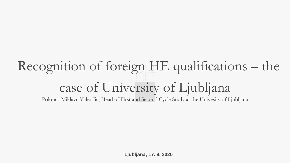# Recognition of foreign HE qualifications – the case of University of Ljubljana

Polonca Miklavc Valenčič, Head of First and Second Cycle Study at the Univesity of Ljubljana

**Ljubljana, 17. 9. 2020**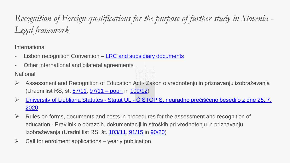*Recognition of Foreign qualifications for the purpose of further study in Slovenia - Legal framework*

International

- Lisbon recognition Convention [LRC and subsidiary](https://www.enic-naric.net/the-lisbon-recognition-convention-97.aspx) documents
- Other international and bilateral agreements

**National** 

- Assessment and Recognition of Education Act Zakon o vrednotenju in priznavanju izobraževanja (Uradni list RS, št. [87/11](http://www.uradni-list.si/1/objava.jsp?sop=2011-01-3717), [97/11 –](http://www.uradni-list.si/1/objava.jsp?sop=2011-21-4196) popr. in [109/12](http://www.uradni-list.si/1/objava.jsp?sop=2012-01-4321))
- University of Ljubljana [Statutes](https://www.uni-lj.si/mma/statut_ul__cistopis,_neuradno_precisceno_besedilo_z_dne_25_7_2020/2020072414282275/) Statut UL [ČISTOPIS, neuradno prečiščeno besedilo z dne 25. 7.](https://www.uni-lj.si/mma/statut_ul__cistopis,_neuradno_precisceno_besedilo_z_dne_25_7_2020/2020072414282275/)  2020
- $\triangleright$  Rules on forms, documents and costs in procedures for the assessment and recognition of education - Pravilnik o obrazcih, dokumentaciji in stroških pri vrednotenju in priznavanju izobraževanja (Uradni list RS, št. [103/11,](http://www.uradni-list.si/1/objava.jsp?sop=2011-01-4422) [91/15](http://www.uradni-list.si/1/objava.jsp?sop=2015-01-3575) in [90/20\)](http://www.uradni-list.si/1/objava.jsp?sop=2020-01-1498)
- $\triangleright$  Call for enrolment applications yearly publication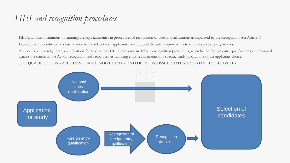### *HEI and recognition procedures*

HEI (and other institutions of learning) are legal authorities in procedures of recognition of foreign qualifications as stipulated by the Recognition Act Article 11. Procedures are conducted in close relation to the selection of applicants for study and the entry requirements to study respective programmes

Applicants with foreign entry qualifications for study at any HEI in Slovenia are liable to recognition procedures, whereby the foreign entry qualifications are measured against the criteria in the Act on recognition and recognised as fullfilling entry requirements of a specific study programme of the applicants choice.

THE QUALIFICATIONS ARE CONSIDERED INDIVIDUALLY AND DECISIONS ISSUED TO CANDIDATES RESPECTIVELLY.

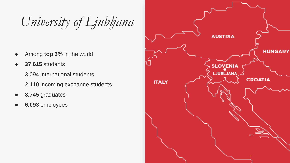*University of Ljubljana*

- Among **top 3%** in the world
- **37.615** students

3.094 international students

- 2.110 incoming exchange students
- 8.745 graduates
- **6.093** employees

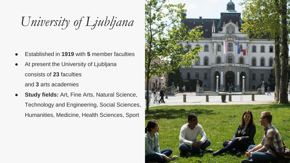*University of Ljubljana*

- **Established in 1919 with 5 member faculties**
- At present the University of Ljubljana consists of **23** faculties and **3** arts academies
- **Study fields:** Art, Fine Arts, Natural Science, Technology and Engineering, Social Sciences, Humanities, Medicine, Health Sciences, Sport

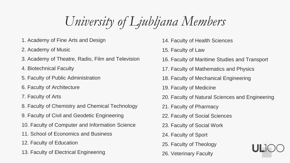*University of Ljubljana Members*

- 1. Academy of Fine Arts and Design
- 2. Academy of Music
- 3. Academy of Theatre, Radio, Film and Television
- 4. Biotechnical Faculty
- 5. Faculty of Public Administration
- 6. Faculty of Architecture
- 7. Faculty of Arts
- 8. Faculty of Chemistry and Chemical Technology
- 9. Faculty of Civil and Geodetic Engineering
- 10. Faculty of Computer and Information Science
- 11. School of Economics and Business
- 12. Faculty of Education
- 13. Faculty of Electrical Engineering
- 14. Faculty of Health Sciences
- 15. Faculty of Law
- 16. Faculty of Maritime Studies and Transport
- 17. Faculty of Mathematics and Physics
- 18. Faculty of Mechanical Engineering
- 19. Faculty of Medicine
- 20. Faculty of Natural Sciences and Engineering
- 21. Faculty of Pharmacy
- 22. Faculty of Social Sciences
- 23. Faculty of Social Work
- 24. Faculty of Sport
- 25. Faculty of Theology
- 26. Veterinary Faculty

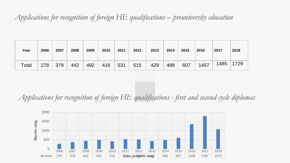#### *Applications for recognition of foreign HE qualifications – preuniversity education*

| Year  | 2006                                                                                  | 2007 | 2008 | 2009 | 2010 | 2011 | 2012 | 2013 | 2014 | 2015 | 2016 | 2017 | 2018 |  |
|-------|---------------------------------------------------------------------------------------|------|------|------|------|------|------|------|------|------|------|------|------|--|
| Total | 278                                                                                   | 379  | 442  | 492  | 416  | 531  | 515  | 429  | 488  | 607  | 1457 | 1485 | 1729 |  |
|       | المنابيات الرابات<br>i i i i i i î î li i i i<br> 111111111111 <br>$ 1111 $ $ 11111 $ |      |      |      |      |      |      |      |      |      |      |      |      |  |

#### *Applications for recognition of foreign HE qualifications - first and second cycle diplomas*

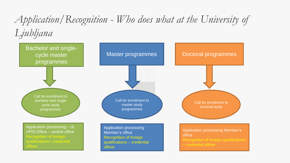## *Application/Recognition - Who does what at the University of Ljubljana*

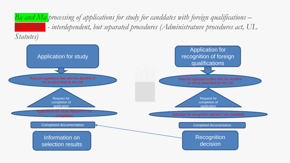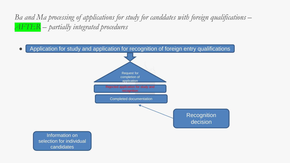*Ba and Ma processing of applications for study for canddates with foreign qualifications – AFTER – partially integrated procedures*